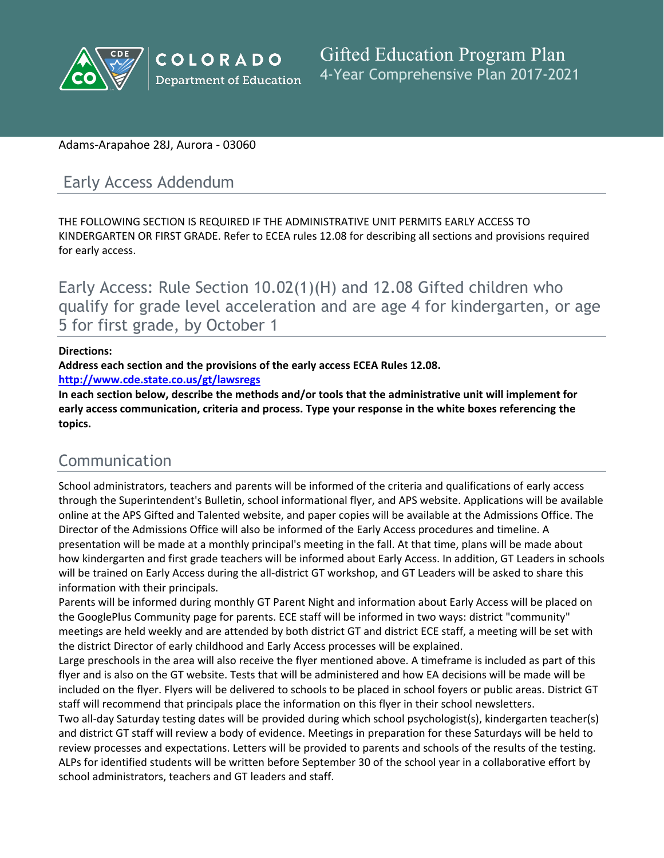

#### Adams-Arapahoe 28J, Aurora - 03060

## Early Access Addendum

THE FOLLOWING SECTION IS REQUIRED IF THE ADMINISTRATIVE UNIT PERMITS EARLY ACCESS TO KINDERGARTEN OR FIRST GRADE. Refer to ECEA rules 12.08 for describing all sections and provisions required for early access.

Early Access: Rule Section 10.02(1)(H) and 12.08 Gifted children who qualify for grade level acceleration and are age 4 for kindergarten, or age 5 for first grade, by October 1

#### **Directions:**

**Address each section and the provisions of the early access ECEA Rules 12.08.**

**<http://www.cde.state.co.us/gt/lawsregs>**

**In each section below, describe the methods and/or tools that the administrative unit will implement for early access communication, criteria and process. Type your response in the white boxes referencing the topics.**

## Communication

School administrators, teachers and parents will be informed of the criteria and qualifications of early access through the Superintendent's Bulletin, school informational flyer, and APS website. Applications will be available online at the APS Gifted and Talented website, and paper copies will be available at the Admissions Office. The Director of the Admissions Office will also be informed of the Early Access procedures and timeline. A presentation will be made at a monthly principal's meeting in the fall. At that time, plans will be made about how kindergarten and first grade teachers will be informed about Early Access. In addition, GT Leaders in schools will be trained on Early Access during the all-district GT workshop, and GT Leaders will be asked to share this information with their principals.

Parents will be informed during monthly GT Parent Night and information about Early Access will be placed on the GooglePlus Community page for parents. ECE staff will be informed in two ways: district "community" meetings are held weekly and are attended by both district GT and district ECE staff, a meeting will be set with the district Director of early childhood and Early Access processes will be explained.

Large preschools in the area will also receive the flyer mentioned above. A timeframe is included as part of this flyer and is also on the GT website. Tests that will be administered and how EA decisions will be made will be included on the flyer. Flyers will be delivered to schools to be placed in school foyers or public areas. District GT staff will recommend that principals place the information on this flyer in their school newsletters.

Two all-day Saturday testing dates will be provided during which school psychologist(s), kindergarten teacher(s) and district GT staff will review a body of evidence. Meetings in preparation for these Saturdays will be held to review processes and expectations. Letters will be provided to parents and schools of the results of the testing. ALPs for identified students will be written before September 30 of the school year in a collaborative effort by school administrators, teachers and GT leaders and staff.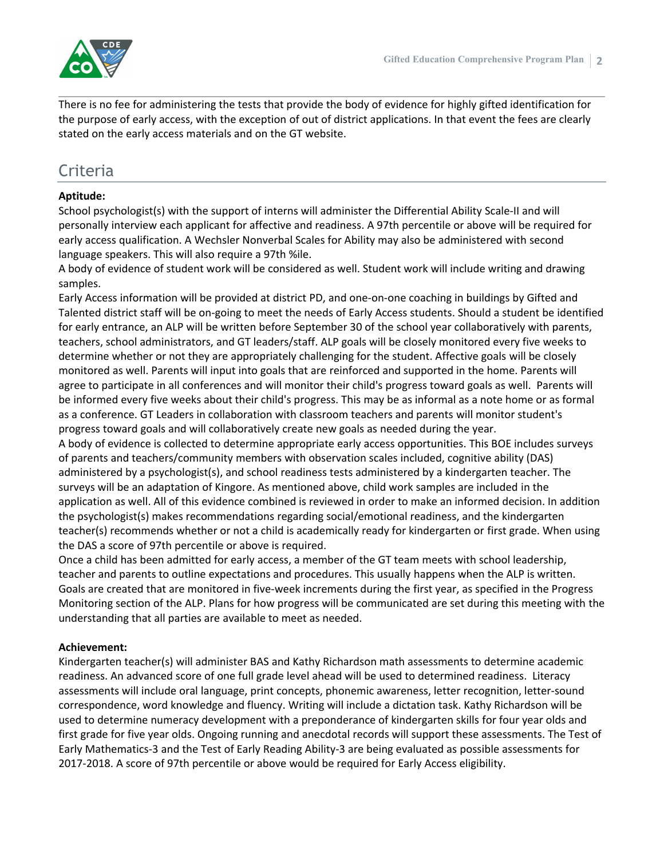

There is no fee for administering the tests that provide the body of evidence for highly gifted identification for the purpose of early access, with the exception of out of district applications. In that event the fees are clearly stated on the early access materials and on the GT website.

# **Criteria**

#### **Aptitude:**

School psychologist(s) with the support of interns will administer the Differential Ability Scale-II and will personally interview each applicant for affective and readiness. A 97th percentile or above will be required for early access qualification. A Wechsler Nonverbal Scales for Ability may also be administered with second language speakers. This will also require a 97th %ile.

A body of evidence of student work will be considered as well. Student work will include writing and drawing samples.

Early Access information will be provided at district PD, and one-on-one coaching in buildings by Gifted and Talented district staff will be on-going to meet the needs of Early Access students. Should a student be identified for early entrance, an ALP will be written before September 30 of the school year collaboratively with parents, teachers, school administrators, and GT leaders/staff. ALP goals will be closely monitored every five weeks to determine whether or not they are appropriately challenging for the student. Affective goals will be closely monitored as well. Parents will input into goals that are reinforced and supported in the home. Parents will agree to participate in all conferences and will monitor their child's progress toward goals as well. Parents will be informed every five weeks about their child's progress. This may be as informal as a note home or as formal as a conference. GT Leaders in collaboration with classroom teachers and parents will monitor student's progress toward goals and will collaboratively create new goals as needed during the year.

A body of evidence is collected to determine appropriate early access opportunities. This BOE includes surveys of parents and teachers/community members with observation scales included, cognitive ability (DAS) administered by a psychologist(s), and school readiness tests administered by a kindergarten teacher. The surveys will be an adaptation of Kingore. As mentioned above, child work samples are included in the application as well. All of this evidence combined is reviewed in order to make an informed decision. In addition the psychologist(s) makes recommendations regarding social/emotional readiness, and the kindergarten teacher(s) recommends whether or not a child is academically ready for kindergarten or first grade. When using the DAS a score of 97th percentile or above is required.

Once a child has been admitted for early access, a member of the GT team meets with school leadership, teacher and parents to outline expectations and procedures. This usually happens when the ALP is written. Goals are created that are monitored in five-week increments during the first year, as specified in the Progress Monitoring section of the ALP. Plans for how progress will be communicated are set during this meeting with the understanding that all parties are available to meet as needed.

#### **Achievement:**

Kindergarten teacher(s) will administer BAS and Kathy Richardson math assessments to determine academic readiness. An advanced score of one full grade level ahead will be used to determined readiness. Literacy assessments will include oral language, print concepts, phonemic awareness, letter recognition, letter-sound correspondence, word knowledge and fluency. Writing will include a dictation task. Kathy Richardson will be used to determine numeracy development with a preponderance of kindergarten skills for four year olds and first grade for five year olds. Ongoing running and anecdotal records will support these assessments. The Test of Early Mathematics-3 and the Test of Early Reading Ability-3 are being evaluated as possible assessments for 2017-2018. A score of 97th percentile or above would be required for Early Access eligibility.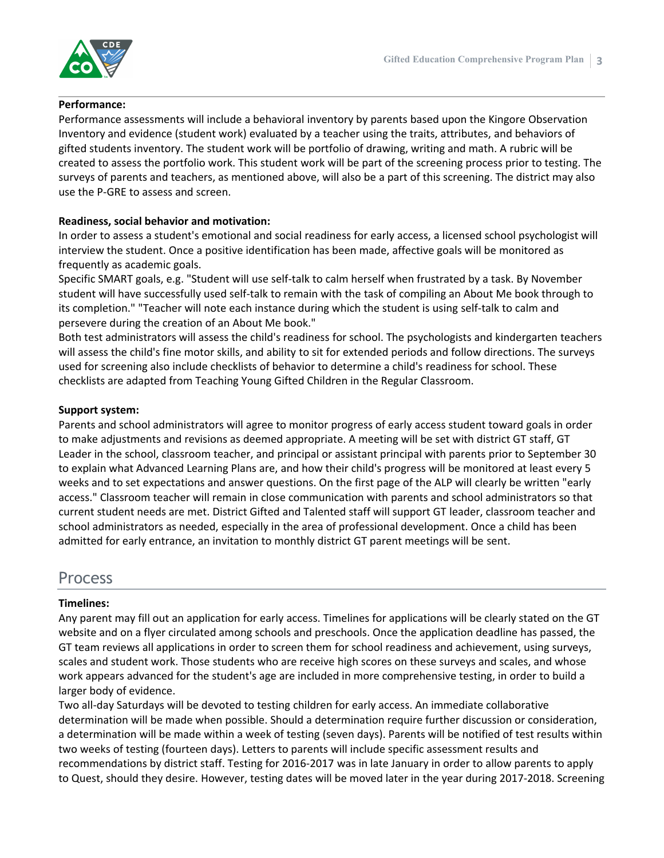

#### **Performance:**

Performance assessments will include a behavioral inventory by parents based upon the Kingore Observation Inventory and evidence (student work) evaluated by a teacher using the traits, attributes, and behaviors of gifted students inventory. The student work will be portfolio of drawing, writing and math. A rubric will be created to assess the portfolio work. This student work will be part of the screening process prior to testing. The surveys of parents and teachers, as mentioned above, will also be a part of this screening. The district may also use the P-GRE to assess and screen.

#### **Readiness, social behavior and motivation:**

In order to assess a student's emotional and social readiness for early access, a licensed school psychologist will interview the student. Once a positive identification has been made, affective goals will be monitored as frequently as academic goals.

Specific SMART goals, e.g. "Student will use self-talk to calm herself when frustrated by a task. By November student will have successfully used self-talk to remain with the task of compiling an About Me book through to its completion." "Teacher will note each instance during which the student is using self-talk to calm and persevere during the creation of an About Me book."

Both test administrators will assess the child's readiness for school. The psychologists and kindergarten teachers will assess the child's fine motor skills, and ability to sit for extended periods and follow directions. The surveys used for screening also include checklists of behavior to determine a child's readiness for school. These checklists are adapted from Teaching Young Gifted Children in the Regular Classroom.

#### **Support system:**

Parents and school administrators will agree to monitor progress of early access student toward goals in order to make adjustments and revisions as deemed appropriate. A meeting will be set with district GT staff, GT Leader in the school, classroom teacher, and principal or assistant principal with parents prior to September 30 to explain what Advanced Learning Plans are, and how their child's progress will be monitored at least every 5 weeks and to set expectations and answer questions. On the first page of the ALP will clearly be written "early access." Classroom teacher will remain in close communication with parents and school administrators so that current student needs are met. District Gifted and Talented staff will support GT leader, classroom teacher and school administrators as needed, especially in the area of professional development. Once a child has been admitted for early entrance, an invitation to monthly district GT parent meetings will be sent.

### Process

#### **Timelines:**

Any parent may fill out an application for early access. Timelines for applications will be clearly stated on the GT website and on a flyer circulated among schools and preschools. Once the application deadline has passed, the GT team reviews all applications in order to screen them for school readiness and achievement, using surveys, scales and student work. Those students who are receive high scores on these surveys and scales, and whose work appears advanced for the student's age are included in more comprehensive testing, in order to build a larger body of evidence.

Two all-day Saturdays will be devoted to testing children for early access. An immediate collaborative determination will be made when possible. Should a determination require further discussion or consideration, a determination will be made within a week of testing (seven days). Parents will be notified of test results within two weeks of testing (fourteen days). Letters to parents will include specific assessment results and recommendations by district staff. Testing for 2016-2017 was in late January in order to allow parents to apply to Quest, should they desire. However, testing dates will be moved later in the year during 2017-2018. Screening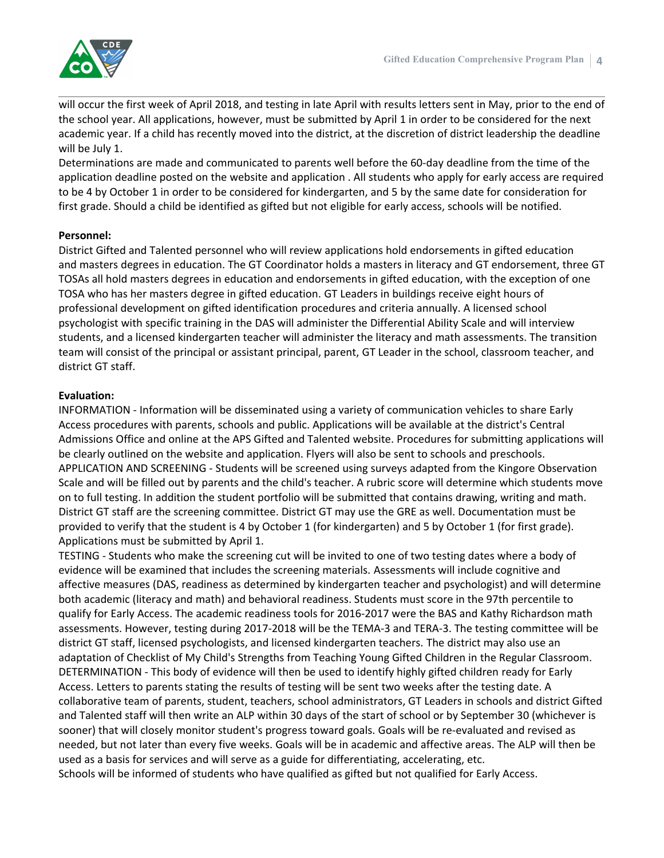will occur the first week of April 2018, and testing in late April with results letters sent in May, prior to the end of the school year. All applications, however, must be submitted by April 1 in order to be considered for the next academic year. If a child has recently moved into the district, at the discretion of district leadership the deadline will be July 1.

Determinations are made and communicated to parents well before the 60-day deadline from the time of the application deadline posted on the website and application . All students who apply for early access are required to be 4 by October 1 in order to be considered for kindergarten, and 5 by the same date for consideration for first grade. Should a child be identified as gifted but not eligible for early access, schools will be notified.

#### **Personnel:**

District Gifted and Talented personnel who will review applications hold endorsements in gifted education and masters degrees in education. The GT Coordinator holds a masters in literacy and GT endorsement, three GT TOSAs all hold masters degrees in education and endorsements in gifted education, with the exception of one TOSA who has her masters degree in gifted education. GT Leaders in buildings receive eight hours of professional development on gifted identification procedures and criteria annually. A licensed school psychologist with specific training in the DAS will administer the Differential Ability Scale and will interview students, and a licensed kindergarten teacher will administer the literacy and math assessments. The transition team will consist of the principal or assistant principal, parent, GT Leader in the school, classroom teacher, and district GT staff.

#### **Evaluation:**

INFORMATION - Information will be disseminated using a variety of communication vehicles to share Early Access procedures with parents, schools and public. Applications will be available at the district's Central Admissions Office and online at the APS Gifted and Talented website. Procedures for submitting applications will be clearly outlined on the website and application. Flyers will also be sent to schools and preschools. APPLICATION AND SCREENING - Students will be screened using surveys adapted from the Kingore Observation Scale and will be filled out by parents and the child's teacher. A rubric score will determine which students move on to full testing. In addition the student portfolio will be submitted that contains drawing, writing and math. District GT staff are the screening committee. District GT may use the GRE as well. Documentation must be provided to verify that the student is 4 by October 1 (for kindergarten) and 5 by October 1 (for first grade). Applications must be submitted by April 1.

TESTING - Students who make the screening cut will be invited to one of two testing dates where a body of evidence will be examined that includes the screening materials. Assessments will include cognitive and affective measures (DAS, readiness as determined by kindergarten teacher and psychologist) and will determine both academic (literacy and math) and behavioral readiness. Students must score in the 97th percentile to qualify for Early Access. The academic readiness tools for 2016-2017 were the BAS and Kathy Richardson math assessments. However, testing during 2017-2018 will be the TEMA-3 and TERA-3. The testing committee will be district GT staff, licensed psychologists, and licensed kindergarten teachers. The district may also use an adaptation of Checklist of My Child's Strengths from Teaching Young Gifted Children in the Regular Classroom. DETERMINATION - This body of evidence will then be used to identify highly gifted children ready for Early Access. Letters to parents stating the results of testing will be sent two weeks after the testing date. A collaborative team of parents, student, teachers, school administrators, GT Leaders in schools and district Gifted and Talented staff will then write an ALP within 30 days of the start of school or by September 30 (whichever is sooner) that will closely monitor student's progress toward goals. Goals will be re-evaluated and revised as needed, but not later than every five weeks. Goals will be in academic and affective areas. The ALP will then be used as a basis for services and will serve as a guide for differentiating, accelerating, etc.

Schools will be informed of students who have qualified as gifted but not qualified for Early Access.